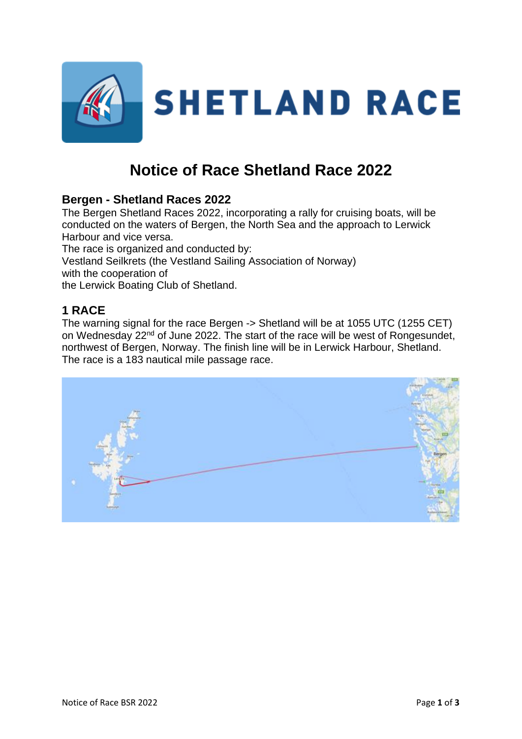

# **Notice of Race Shetland Race 2022**

# **Bergen - Shetland Races 2022**

The Bergen Shetland Races 2022, incorporating a rally for cruising boats, will be conducted on the waters of Bergen, the North Sea and the approach to Lerwick Harbour and vice versa.

The race is organized and conducted by: Vestland Seilkrets (the Vestland Sailing Association of Norway) with the cooperation of the Lerwick Boating Club of Shetland.

# **1 RACE**

The warning signal for the race Bergen -> Shetland will be at 1055 UTC (1255 CET) on Wednesday 22<sup>nd</sup> of June 2022. The start of the race will be west of Rongesundet, northwest of Bergen, Norway. The finish line will be in Lerwick Harbour, Shetland. The race is a 183 nautical mile passage race.

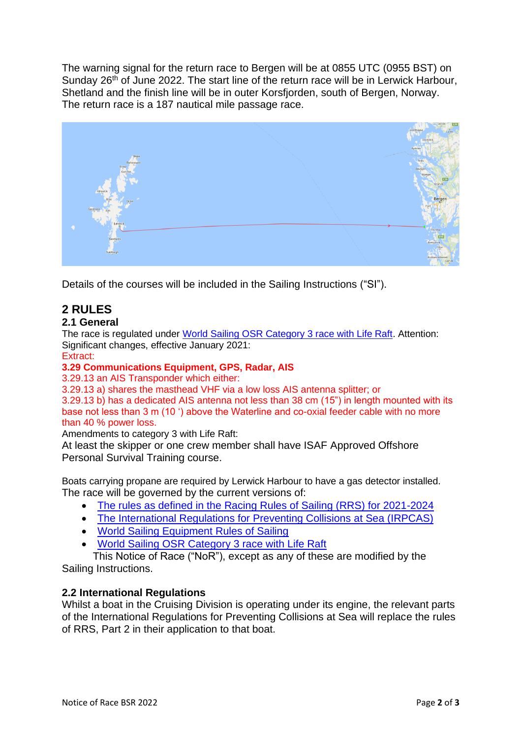The warning signal for the return race to Bergen will be at 0855 UTC (0955 BST) on Sunday 26<sup>th</sup> of June 2022. The start line of the return race will be in Lerwick Harbour, Shetland and the finish line will be in outer Korsfjorden, south of Bergen, Norway. The return race is a 187 nautical mile passage race.



Details of the courses will be included in the Sailing Instructions ("SI").

# **2 RULES**

#### **2.1 General**

The race is regulated under [World Sailing OSR Category 3 race with Life Raft.](https://d2cx26qpfwuhvu.cloudfront.net/sailing/wp-content/uploads/2022/02/16130828/OSR-Monohull-Category-3-Liferaft-Extract-22v2.pdf) Attention: Significant changes, effective January 2021:

#### Extract:

#### **3.29 Communications Equipment, GPS, Radar, AIS**

3.29.13 an AIS Transponder which either:

3.29.13 a) shares the masthead VHF via a low loss AIS antenna splitter; or

3.29.13 b) has a dedicated AIS antenna not less than 38 cm (15") in length mounted with its base not less than 3 m (10 ') above the Waterline and co-oxial feeder cable with no more than 40 % power loss.

Amendments to category 3 with Life Raft:

At least the skipper or one crew member shall have ISAF Approved Offshore Personal Survival Training course.

Boats carrying propane are required by Lerwick Harbour to have a gas detector installed. The race will be governed by the current versions of:

- [The rules as defined in the Racing Rules of Sailing \(RRS\) for 2021-2024](https://www.sailing.org/tools/documents/WSRRS20212024FinalwithChgsandCorrecns201113-%5b27417%5d.pdf)
- [The International Regulations for Preventing Collisions at Sea \(IRPCAS\)](http://webarchive.nationalarchives.gov.uk/20121107103953/http:/www.dft.gov.uk/mca/msn_1781-2.pdf)
- [World Sailing Equipment Rules of Sailing](https://www.sailing.org/tools/documents/EquipmentRulesofSailing20212024-%5b26661%5d.pdf)
- [World Sailing OSR Category 3 race with Life Raft](http://www.sailing.org/tools/documents/mo3life180104-%5b23485%5d.pdf)

This Notice of Race ("NoR"), except as any of these are modified by the Sailing Instructions.

#### **2.2 International Regulations**

Whilst a boat in the Cruising Division is operating under its engine, the relevant parts of the International Regulations for Preventing Collisions at Sea will replace the rules of RRS, Part 2 in their application to that boat.